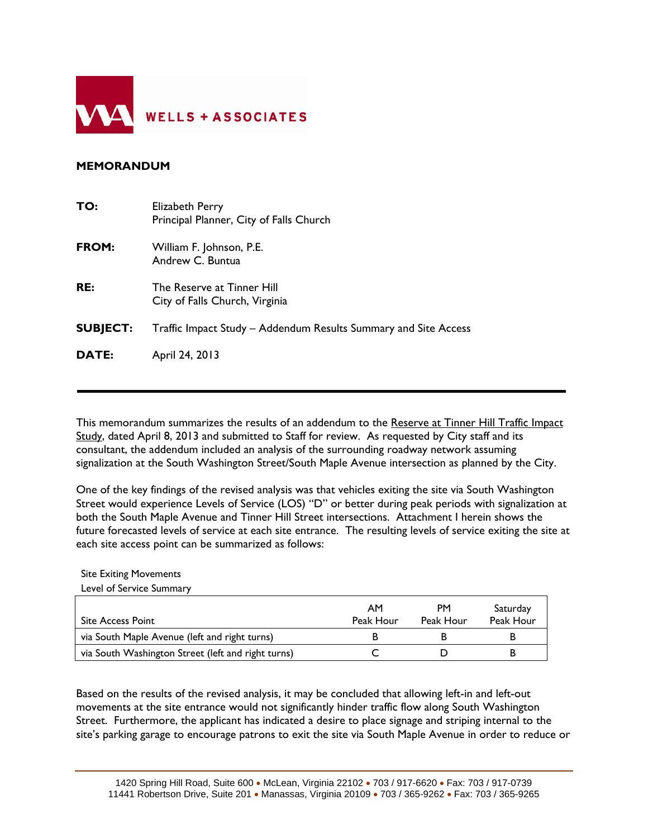

## **MEMORANDUM**

| TO:             | Elizabeth Perry<br>Principal Planner, City of Falls Church      |
|-----------------|-----------------------------------------------------------------|
| FROM:           | William F. Johnson, P.E.<br>Andrew C. Buntua                    |
| RE:             | The Reserve at Tinner Hill<br>City of Falls Church, Virginia    |
| <b>SUBJECT:</b> | Traffic Impact Study – Addendum Results Summary and Site Access |
| <b>DATE:</b>    | April 24, 2013                                                  |
|                 |                                                                 |

This memorandum summarizes the results of an addendum to the Reserve at Tinner Hill Traffic Impact Study, dated April 8, 2013 and submitted to Staff for review. As requested by City staff and its consultant, the addendum included an analysis of the surrounding roadway network assuming signalization at the South Washington Street/South Maple Avenue intersection as planned by the City.

One of the key findings of the revised analysis was that vehicles exiting the site via South Washington Street would experience Levels of Service (LOS) "D" or better during peak periods with signalization at both the South Maple Avenue and Tinner Hill Street intersections. Attachment I herein shows the future forecasted levels of service at each site entrance. The resulting levels of service exiting the site at each site access point can be summarized as follows:

Site Exiting Movements

Level of Service Summary

| <b>Site Access Point</b>                           | AM<br>Peak Hour | PM<br>Peak Hour | Saturday<br>Peak Hour |
|----------------------------------------------------|-----------------|-----------------|-----------------------|
| via South Maple Avenue (left and right turns)      |                 |                 |                       |
| via South Washington Street (left and right turns) |                 |                 |                       |

Based on the results of the revised analysis, it may be concluded that allowing left-in and left-out movements at the site entrance would not significantly hinder traffic flow along South Washington Street. Furthermore, the applicant has indicated a desire to place signage and striping internal to the site's parking garage to encourage patrons to exit the site via South Maple Avenue in order to reduce or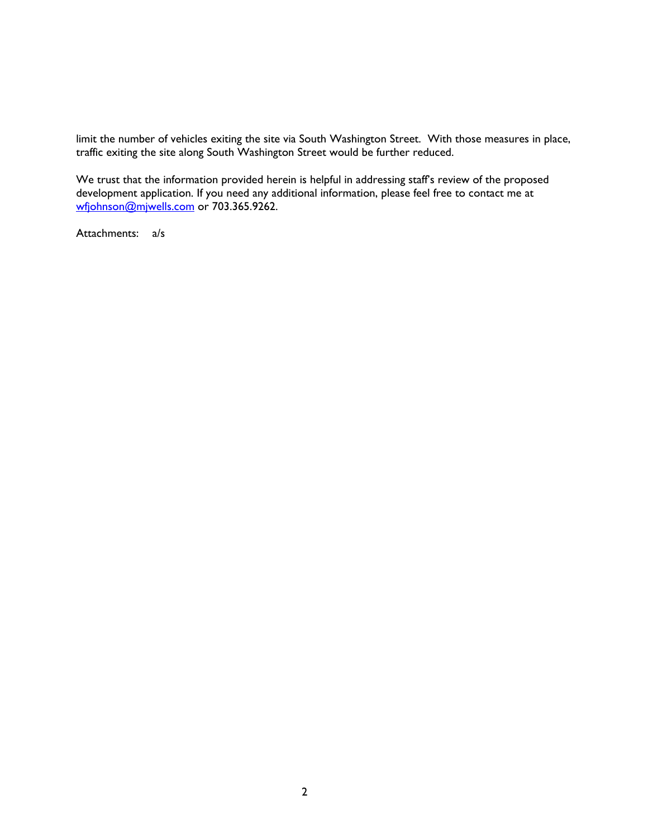limit the number of vehicles exiting the site via South Washington Street. With those measures in place, traffic exiting the site along South Washington Street would be further reduced.

We trust that the information provided herein is helpful in addressing staff's review of the proposed development application. If you need any additional information, please feel free to contact me at wfjohnson@mjwells.com or 703.365.9262.

Attachments: a/s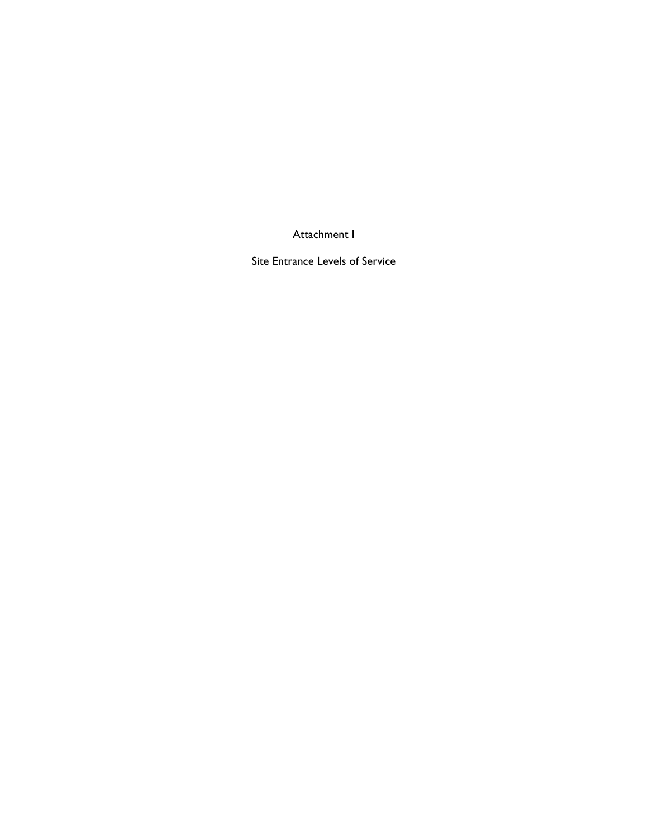Attachment I

Site Entrance Levels of Service